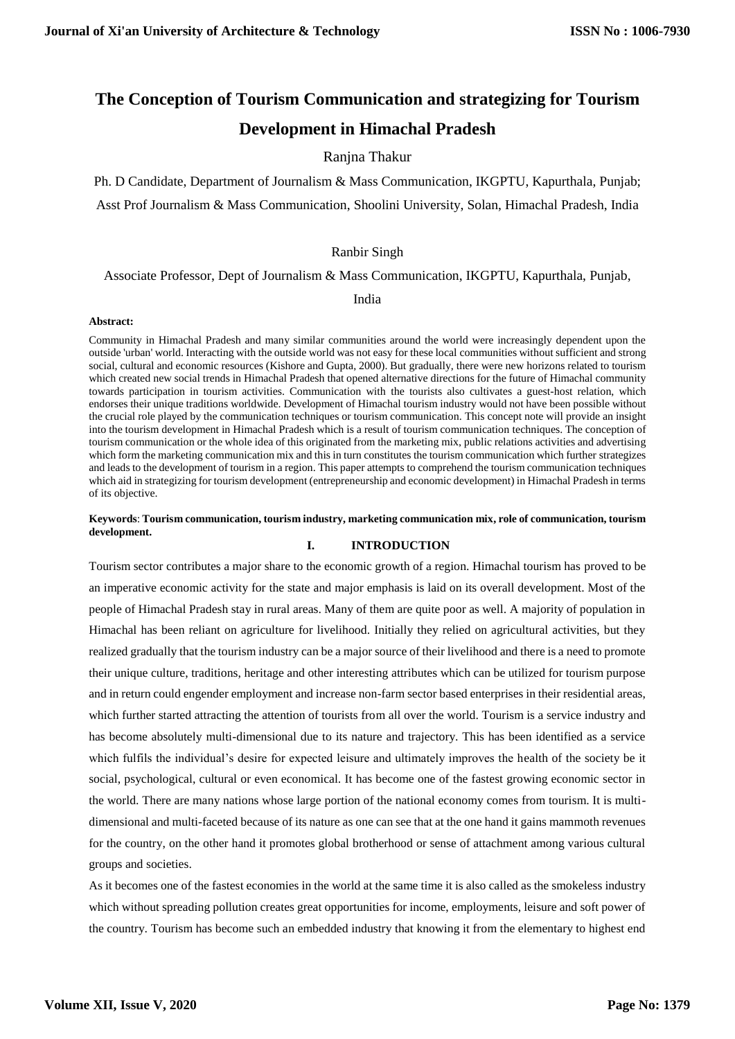# **The Conception of Tourism Communication and strategizing for Tourism Development in Himachal Pradesh**

# Ranjna Thakur

Ph. D Candidate, Department of Journalism & Mass Communication, IKGPTU, Kapurthala, Punjab; Asst Prof Journalism & Mass Communication, Shoolini University, Solan, Himachal Pradesh, India

## Ranbir Singh

Associate Professor, Dept of Journalism & Mass Communication, IKGPTU, Kapurthala, Punjab,

## India

#### **Abstract:**

Community in Himachal Pradesh and many similar communities around the world were increasingly dependent upon the outside 'urban' world. Interacting with the outside world was not easy for these local communities without sufficient and strong social, cultural and economic resources (Kishore and Gupta, 2000). But gradually, there were new horizons related to tourism which created new social trends in Himachal Pradesh that opened alternative directions for the future of Himachal community towards participation in tourism activities. Communication with the tourists also cultivates a guest-host relation, which endorses their unique traditions worldwide. Development of Himachal tourism industry would not have been possible without the crucial role played by the communication techniques or tourism communication. This concept note will provide an insight into the tourism development in Himachal Pradesh which is a result of tourism communication techniques. The conception of tourism communication or the whole idea of this originated from the marketing mix, public relations activities and advertising which form the marketing communication mix and this in turn constitutes the tourism communication which further strategizes and leads to the development of tourism in a region. This paper attempts to comprehend the tourism communication techniques which aid in strategizing for tourism development (entrepreneurship and economic development) in Himachal Pradesh in terms of its objective.

## **Keywords**: **Tourism communication, tourism industry, marketing communication mix, role of communication, tourism development.**

# **I. INTRODUCTION**

Tourism sector contributes a major share to the economic growth of a region. Himachal tourism has proved to be an imperative economic activity for the state and major emphasis is laid on its overall development. Most of the people of Himachal Pradesh stay in rural areas. Many of them are quite poor as well. A majority of population in Himachal has been reliant on agriculture for livelihood. Initially they relied on agricultural activities, but they realized gradually that the tourism industry can be a major source of their livelihood and there is a need to promote their unique culture, traditions, heritage and other interesting attributes which can be utilized for tourism purpose and in return could engender employment and increase non-farm sector based enterprises in their residential areas, which further started attracting the attention of tourists from all over the world. Tourism is a service industry and has become absolutely multi-dimensional due to its nature and trajectory. This has been identified as a service which fulfils the individual's desire for expected leisure and ultimately improves the health of the society be it social, psychological, cultural or even economical. It has become one of the fastest growing economic sector in the world. There are many nations whose large portion of the national economy comes from tourism. It is multidimensional and multi-faceted because of its nature as one can see that at the one hand it gains mammoth revenues for the country, on the other hand it promotes global brotherhood or sense of attachment among various cultural groups and societies.

As it becomes one of the fastest economies in the world at the same time it is also called as the smokeless industry which without spreading pollution creates great opportunities for income, employments, leisure and soft power of the country. Tourism has become such an embedded industry that knowing it from the elementary to highest end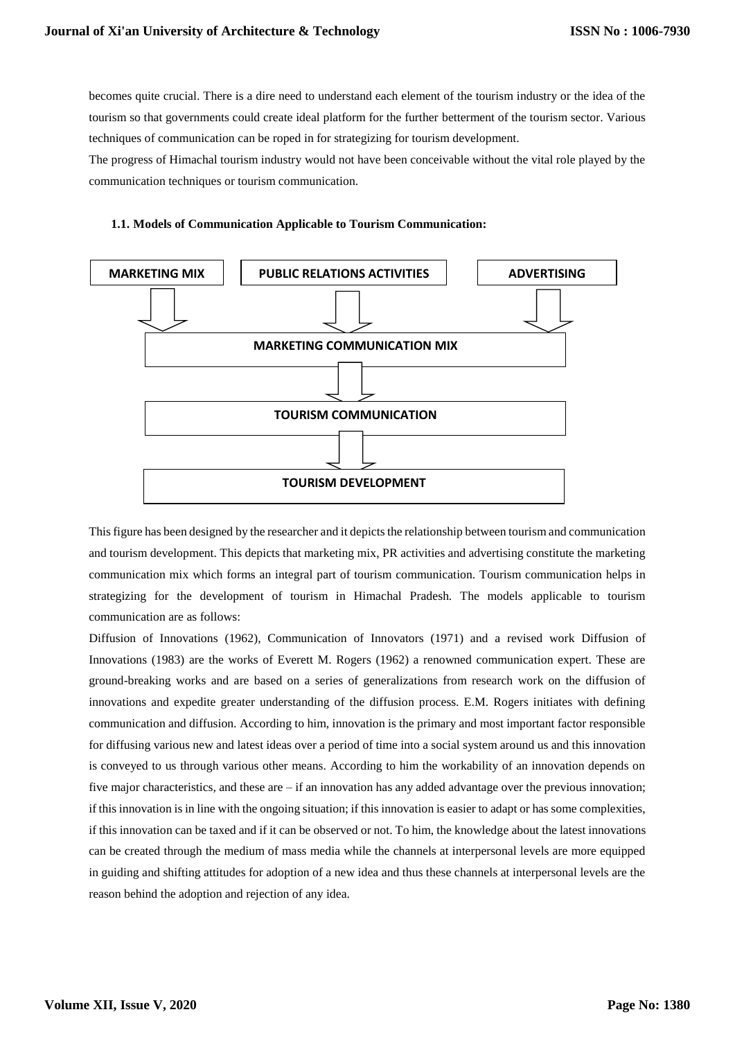becomes quite crucial. There is a dire need to understand each element of the tourism industry or the idea of the tourism so that governments could create ideal platform for the further betterment of the tourism sector. Various techniques of communication can be roped in for strategizing for tourism development.

The progress of Himachal tourism industry would not have been conceivable without the vital role played by the communication techniques or tourism communication.



## **1.1. Models of Communication Applicable to Tourism Communication:**

This figure has been designed by the researcher and it depicts the relationship between tourism and communication and tourism development. This depicts that marketing mix, PR activities and advertising constitute the marketing communication mix which forms an integral part of tourism communication. Tourism communication helps in strategizing for the development of tourism in Himachal Pradesh. The models applicable to tourism communication are as follows:

Diffusion of Innovations (1962), Communication of Innovators (1971) and a revised work Diffusion of Innovations (1983) are the works of Everett M. Rogers (1962) a renowned communication expert. These are ground-breaking works and are based on a series of generalizations from research work on the diffusion of innovations and expedite greater understanding of the diffusion process. E.M. Rogers initiates with defining communication and diffusion. According to him, innovation is the primary and most important factor responsible for diffusing various new and latest ideas over a period of time into a social system around us and this innovation is conveyed to us through various other means. According to him the workability of an innovation depends on five major characteristics, and these are – if an innovation has any added advantage over the previous innovation; if this innovation is in line with the ongoing situation; if this innovation is easier to adapt or has some complexities, if this innovation can be taxed and if it can be observed or not. To him, the knowledge about the latest innovations can be created through the medium of mass media while the channels at interpersonal levels are more equipped in guiding and shifting attitudes for adoption of a new idea and thus these channels at interpersonal levels are the reason behind the adoption and rejection of any idea.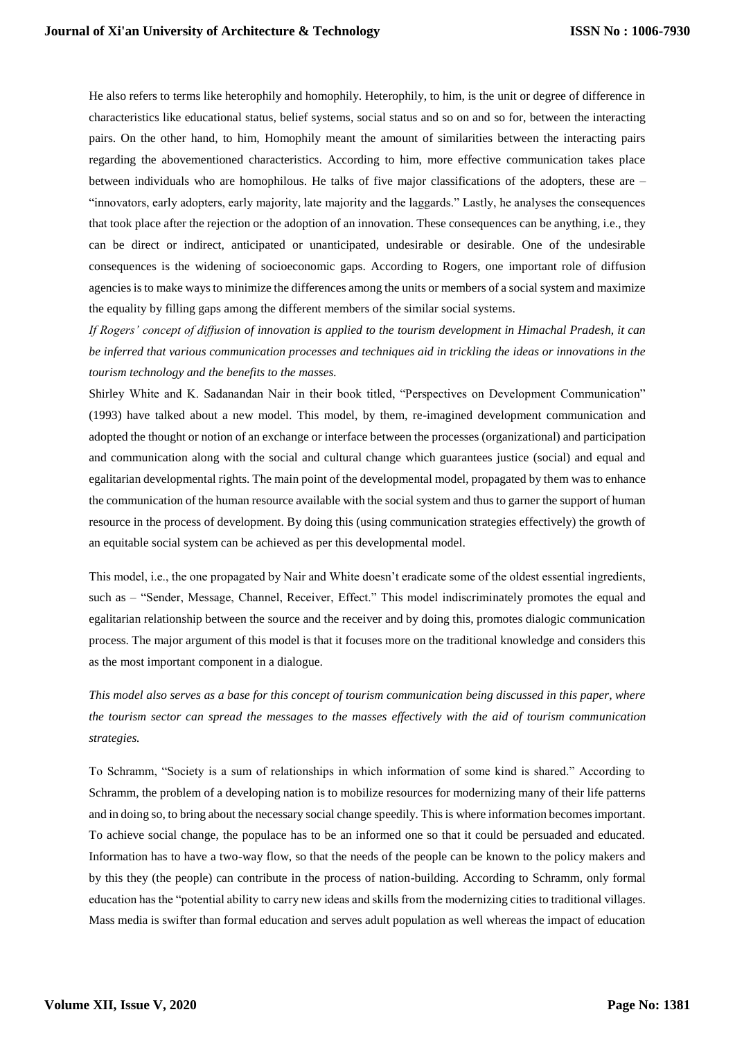He also refers to terms like heterophily and homophily. Heterophily, to him, is the unit or degree of difference in characteristics like educational status, belief systems, social status and so on and so for, between the interacting pairs. On the other hand, to him, Homophily meant the amount of similarities between the interacting pairs regarding the abovementioned characteristics. According to him, more effective communication takes place between individuals who are homophilous. He talks of five major classifications of the adopters, these are – "innovators, early adopters, early majority, late majority and the laggards." Lastly, he analyses the consequences that took place after the rejection or the adoption of an innovation. These consequences can be anything, i.e., they can be direct or indirect, anticipated or unanticipated, undesirable or desirable. One of the undesirable consequences is the widening of socioeconomic gaps. According to Rogers, one important role of diffusion agencies is to make ways to minimize the differences among the units or members of a social system and maximize the equality by filling gaps among the different members of the similar social systems.

*If Rogers' concept of diffusion of innovation is applied to the tourism development in Himachal Pradesh, it can be inferred that various communication processes and techniques aid in trickling the ideas or innovations in the tourism technology and the benefits to the masses.*

Shirley White and K. Sadanandan Nair in their book titled, "Perspectives on Development Communication" (1993) have talked about a new model. This model, by them, re-imagined development communication and adopted the thought or notion of an exchange or interface between the processes (organizational) and participation and communication along with the social and cultural change which guarantees justice (social) and equal and egalitarian developmental rights. The main point of the developmental model, propagated by them was to enhance the communication of the human resource available with the social system and thus to garner the support of human resource in the process of development. By doing this (using communication strategies effectively) the growth of an equitable social system can be achieved as per this developmental model.

This model, i.e., the one propagated by Nair and White doesn't eradicate some of the oldest essential ingredients, such as – "Sender, Message, Channel, Receiver, Effect." This model indiscriminately promotes the equal and egalitarian relationship between the source and the receiver and by doing this, promotes dialogic communication process. The major argument of this model is that it focuses more on the traditional knowledge and considers this as the most important component in a dialogue.

*This model also serves as a base for this concept of tourism communication being discussed in this paper, where the tourism sector can spread the messages to the masses effectively with the aid of tourism communication strategies.*

To Schramm, "Society is a sum of relationships in which information of some kind is shared." According to Schramm, the problem of a developing nation is to mobilize resources for modernizing many of their life patterns and in doing so, to bring about the necessary social change speedily. This is where information becomes important. To achieve social change, the populace has to be an informed one so that it could be persuaded and educated. Information has to have a two-way flow, so that the needs of the people can be known to the policy makers and by this they (the people) can contribute in the process of nation-building. According to Schramm, only formal education has the "potential ability to carry new ideas and skills from the modernizing cities to traditional villages. Mass media is swifter than formal education and serves adult population as well whereas the impact of education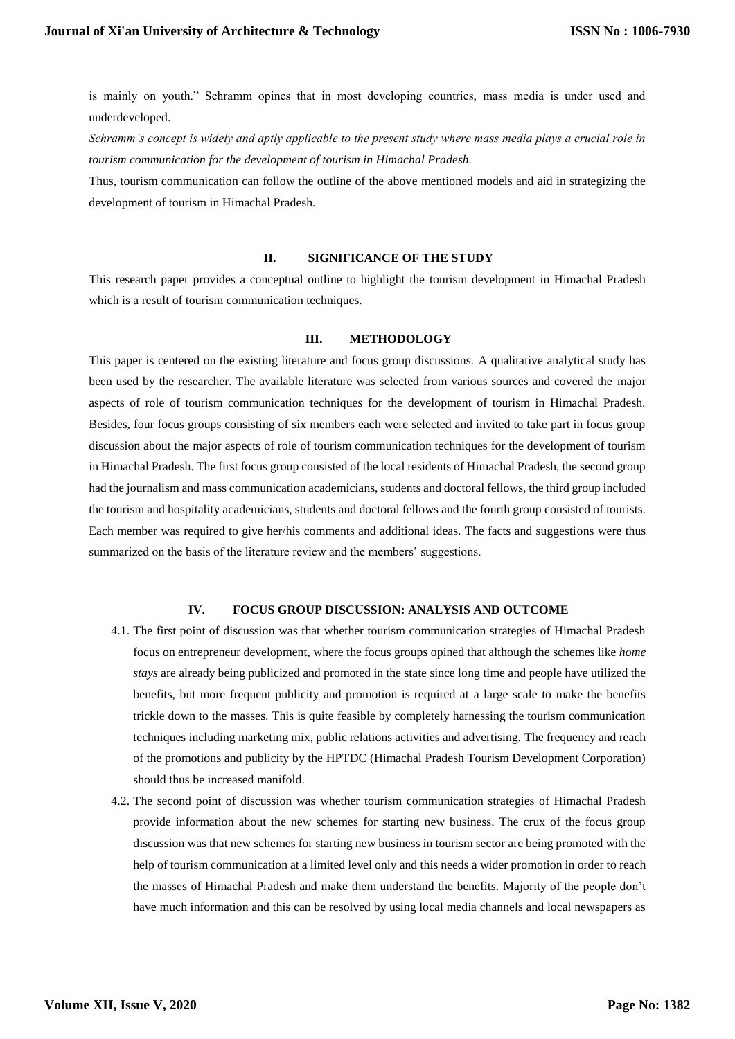is mainly on youth." Schramm opines that in most developing countries, mass media is under used and underdeveloped.

*Schramm's concept is widely and aptly applicable to the present study where mass media plays a crucial role in tourism communication for the development of tourism in Himachal Pradesh.*

Thus, tourism communication can follow the outline of the above mentioned models and aid in strategizing the development of tourism in Himachal Pradesh.

## **II. SIGNIFICANCE OF THE STUDY**

This research paper provides a conceptual outline to highlight the tourism development in Himachal Pradesh which is a result of tourism communication techniques.

#### **III. METHODOLOGY**

This paper is centered on the existing literature and focus group discussions. A qualitative analytical study has been used by the researcher. The available literature was selected from various sources and covered the major aspects of role of tourism communication techniques for the development of tourism in Himachal Pradesh. Besides, four focus groups consisting of six members each were selected and invited to take part in focus group discussion about the major aspects of role of tourism communication techniques for the development of tourism in Himachal Pradesh. The first focus group consisted of the local residents of Himachal Pradesh, the second group had the journalism and mass communication academicians, students and doctoral fellows, the third group included the tourism and hospitality academicians, students and doctoral fellows and the fourth group consisted of tourists. Each member was required to give her/his comments and additional ideas. The facts and suggestions were thus summarized on the basis of the literature review and the members' suggestions.

#### **IV. FOCUS GROUP DISCUSSION: ANALYSIS AND OUTCOME**

- 4.1. The first point of discussion was that whether tourism communication strategies of Himachal Pradesh focus on entrepreneur development, where the focus groups opined that although the schemes like *home stays* are already being publicized and promoted in the state since long time and people have utilized the benefits, but more frequent publicity and promotion is required at a large scale to make the benefits trickle down to the masses. This is quite feasible by completely harnessing the tourism communication techniques including marketing mix, public relations activities and advertising. The frequency and reach of the promotions and publicity by the HPTDC (Himachal Pradesh Tourism Development Corporation) should thus be increased manifold.
- 4.2. The second point of discussion was whether tourism communication strategies of Himachal Pradesh provide information about the new schemes for starting new business. The crux of the focus group discussion was that new schemes for starting new business in tourism sector are being promoted with the help of tourism communication at a limited level only and this needs a wider promotion in order to reach the masses of Himachal Pradesh and make them understand the benefits. Majority of the people don't have much information and this can be resolved by using local media channels and local newspapers as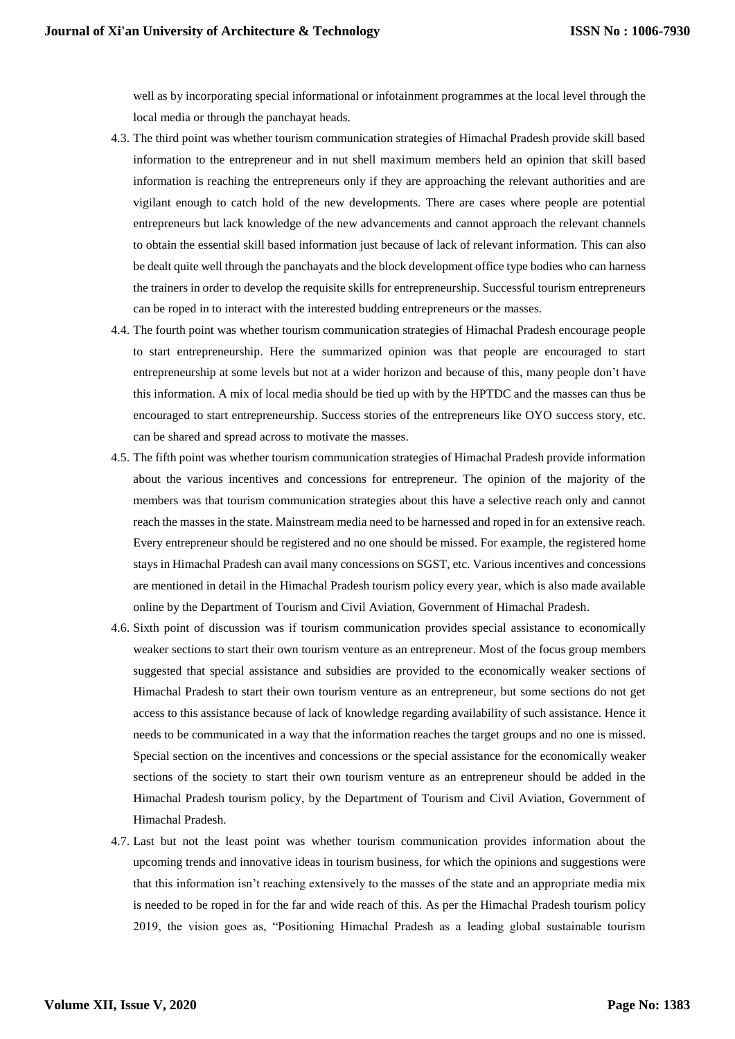well as by incorporating special informational or infotainment programmes at the local level through the local media or through the panchayat heads.

- 4.3. The third point was whether tourism communication strategies of Himachal Pradesh provide skill based information to the entrepreneur and in nut shell maximum members held an opinion that skill based information is reaching the entrepreneurs only if they are approaching the relevant authorities and are vigilant enough to catch hold of the new developments. There are cases where people are potential entrepreneurs but lack knowledge of the new advancements and cannot approach the relevant channels to obtain the essential skill based information just because of lack of relevant information. This can also be dealt quite well through the panchayats and the block development office type bodies who can harness the trainers in order to develop the requisite skills for entrepreneurship. Successful tourism entrepreneurs can be roped in to interact with the interested budding entrepreneurs or the masses.
- 4.4. The fourth point was whether tourism communication strategies of Himachal Pradesh encourage people to start entrepreneurship. Here the summarized opinion was that people are encouraged to start entrepreneurship at some levels but not at a wider horizon and because of this, many people don't have this information. A mix of local media should be tied up with by the HPTDC and the masses can thus be encouraged to start entrepreneurship. Success stories of the entrepreneurs like OYO success story, etc. can be shared and spread across to motivate the masses.
- 4.5. The fifth point was whether tourism communication strategies of Himachal Pradesh provide information about the various incentives and concessions for entrepreneur. The opinion of the majority of the members was that tourism communication strategies about this have a selective reach only and cannot reach the masses in the state. Mainstream media need to be harnessed and roped in for an extensive reach. Every entrepreneur should be registered and no one should be missed. For example, the registered home stays in Himachal Pradesh can avail many concessions on SGST, etc. Various incentives and concessions are mentioned in detail in the Himachal Pradesh tourism policy every year, which is also made available online by the Department of Tourism and Civil Aviation, Government of Himachal Pradesh.
- 4.6. Sixth point of discussion was if tourism communication provides special assistance to economically weaker sections to start their own tourism venture as an entrepreneur. Most of the focus group members suggested that special assistance and subsidies are provided to the economically weaker sections of Himachal Pradesh to start their own tourism venture as an entrepreneur, but some sections do not get access to this assistance because of lack of knowledge regarding availability of such assistance. Hence it needs to be communicated in a way that the information reaches the target groups and no one is missed. Special section on the incentives and concessions or the special assistance for the economically weaker sections of the society to start their own tourism venture as an entrepreneur should be added in the Himachal Pradesh tourism policy, by the Department of Tourism and Civil Aviation, Government of Himachal Pradesh.
- 4.7. Last but not the least point was whether tourism communication provides information about the upcoming trends and innovative ideas in tourism business, for which the opinions and suggestions were that this information isn't reaching extensively to the masses of the state and an appropriate media mix is needed to be roped in for the far and wide reach of this. As per the Himachal Pradesh tourism policy 2019, the vision goes as, "Positioning Himachal Pradesh as a leading global sustainable tourism